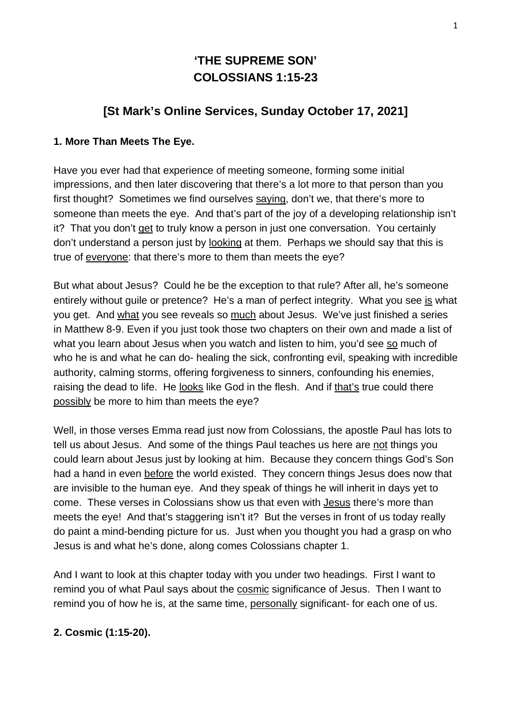# **'THE SUPREME SON' COLOSSIANS 1:15-23**

## **[St Mark's Online Services, Sunday October 17, 2021]**

#### **1. More Than Meets The Eye.**

Have you ever had that experience of meeting someone, forming some initial impressions, and then later discovering that there's a lot more to that person than you first thought? Sometimes we find ourselves saying, don't we, that there's more to someone than meets the eye. And that's part of the joy of a developing relationship isn't it? That you don't get to truly know a person in just one conversation. You certainly don't understand a person just by looking at them. Perhaps we should say that this is true of everyone: that there's more to them than meets the eye?

But what about Jesus? Could he be the exception to that rule? After all, he's someone entirely without guile or pretence? He's a man of perfect integrity. What you see is what you get. And what you see reveals so much about Jesus. We've just finished a series in Matthew 8-9. Even if you just took those two chapters on their own and made a list of what you learn about Jesus when you watch and listen to him, you'd see so much of who he is and what he can do- healing the sick, confronting evil, speaking with incredible authority, calming storms, offering forgiveness to sinners, confounding his enemies, raising the dead to life. He looks like God in the flesh. And if that's true could there possibly be more to him than meets the eye?

Well, in those verses Emma read just now from Colossians, the apostle Paul has lots to tell us about Jesus. And some of the things Paul teaches us here are not things you could learn about Jesus just by looking at him. Because they concern things God's Son had a hand in even before the world existed. They concern things Jesus does now that are invisible to the human eye. And they speak of things he will inherit in days yet to come. These verses in Colossians show us that even with Jesus there's more than meets the eye! And that's staggering isn't it? But the verses in front of us today really do paint a mind-bending picture for us. Just when you thought you had a grasp on who Jesus is and what he's done, along comes Colossians chapter 1.

And I want to look at this chapter today with you under two headings. First I want to remind you of what Paul says about the cosmic significance of Jesus. Then I want to remind you of how he is, at the same time, personally significant- for each one of us.

## **2. Cosmic (1:15-20).**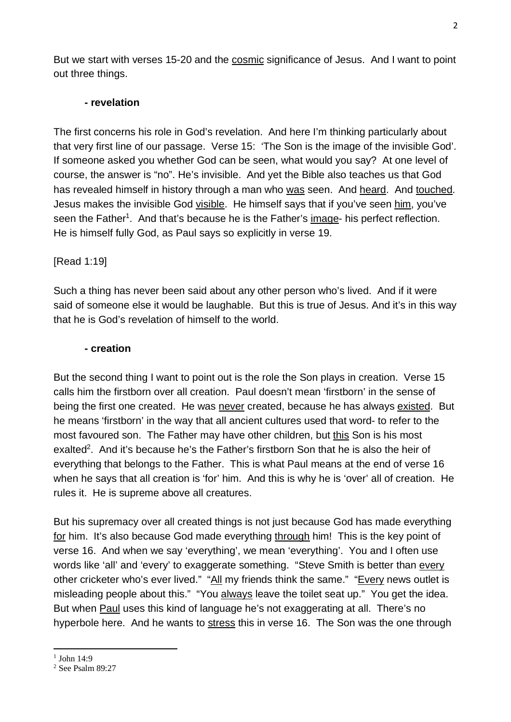But we start with verses 15-20 and the cosmic significance of Jesus. And I want to point out three things.

#### **- revelation**

The first concerns his role in God's revelation. And here I'm thinking particularly about that very first line of our passage. Verse 15: 'The Son is the image of the invisible God'. If someone asked you whether God can be seen, what would you say? At one level of course, the answer is "no". He's invisible. And yet the Bible also teaches us that God has revealed himself in history through a man who was seen. And heard. And touched. Jesus makes the invisible God visible. He himself says that if you've seen him, you've seen the Father<sup>1</sup>. And that's because he is the Father's image- his perfect reflection. He is himself fully God, as Paul says so explicitly in verse 19.

#### [Read 1:19]

Such a thing has never been said about any other person who's lived. And if it were said of someone else it would be laughable. But this is true of Jesus. And it's in this way that he is God's revelation of himself to the world.

#### **- creation**

But the second thing I want to point out is the role the Son plays in creation. Verse 15 calls him the firstborn over all creation. Paul doesn't mean 'firstborn' in the sense of being the first one created. He was never created, because he has always existed. But he means 'firstborn' in the way that all ancient cultures used that word- to refer to the most favoured son. The Father may have other children, but this Son is his most exalted<sup>2</sup>. And it's because he's the Father's firstborn Son that he is also the heir of everything that belongs to the Father. This is what Paul means at the end of verse 16 when he says that all creation is 'for' him. And this is why he is 'over' all of creation. He rules it. He is supreme above all creatures.

But his supremacy over all created things is not just because God has made everything for him. It's also because God made everything through him! This is the key point of verse 16. And when we say 'everything', we mean 'everything'. You and I often use words like 'all' and 'every' to exaggerate something. "Steve Smith is better than every other cricketer who's ever lived." "All my friends think the same." "Every news outlet is misleading people about this." "You always leave the toilet seat up." You get the idea. But when Paul uses this kind of language he's not exaggerating at all. There's no hyperbole here. And he wants to stress this in verse 16. The Son was the one through

 $1$  John 14:9

<sup>2</sup> See Psalm 89:27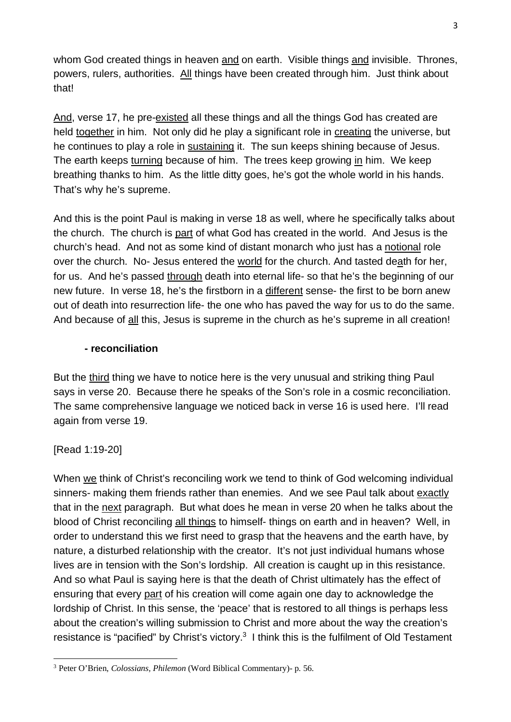whom God created things in heaven and on earth. Visible things and invisible. Thrones, powers, rulers, authorities. All things have been created through him. Just think about that!

And, verse 17, he pre-existed all these things and all the things God has created are held together in him. Not only did he play a significant role in creating the universe, but he continues to play a role in sustaining it. The sun keeps shining because of Jesus. The earth keeps turning because of him. The trees keep growing in him. We keep breathing thanks to him. As the little ditty goes, he's got the whole world in his hands. That's why he's supreme.

And this is the point Paul is making in verse 18 as well, where he specifically talks about the church. The church is part of what God has created in the world. And Jesus is the church's head. And not as some kind of distant monarch who just has a notional role over the church. No- Jesus entered the world for the church. And tasted death for her, for us. And he's passed through death into eternal life- so that he's the beginning of our new future. In verse 18, he's the firstborn in a different sense- the first to be born anew out of death into resurrection life- the one who has paved the way for us to do the same. And because of all this, Jesus is supreme in the church as he's supreme in all creation!

#### **- reconciliation**

But the third thing we have to notice here is the very unusual and striking thing Paul says in verse 20. Because there he speaks of the Son's role in a cosmic reconciliation. The same comprehensive language we noticed back in verse 16 is used here. I'll read again from verse 19.

#### [Read 1:19-20]

When we think of Christ's reconciling work we tend to think of God welcoming individual sinners- making them friends rather than enemies. And we see Paul talk about exactly that in the next paragraph. But what does he mean in verse 20 when he talks about the blood of Christ reconciling all things to himself- things on earth and in heaven? Well, in order to understand this we first need to grasp that the heavens and the earth have, by nature, a disturbed relationship with the creator. It's not just individual humans whose lives are in tension with the Son's lordship. All creation is caught up in this resistance. And so what Paul is saying here is that the death of Christ ultimately has the effect of ensuring that every part of his creation will come again one day to acknowledge the lordship of Christ. In this sense, the 'peace' that is restored to all things is perhaps less about the creation's willing submission to Christ and more about the way the creation's resistance is "pacified" by Christ's victory.<sup>3</sup> I think this is the fulfilment of Old Testament

<sup>3</sup> Peter O'Brien, *Colossians, Philemon* (Word Biblical Commentary)- p. 56.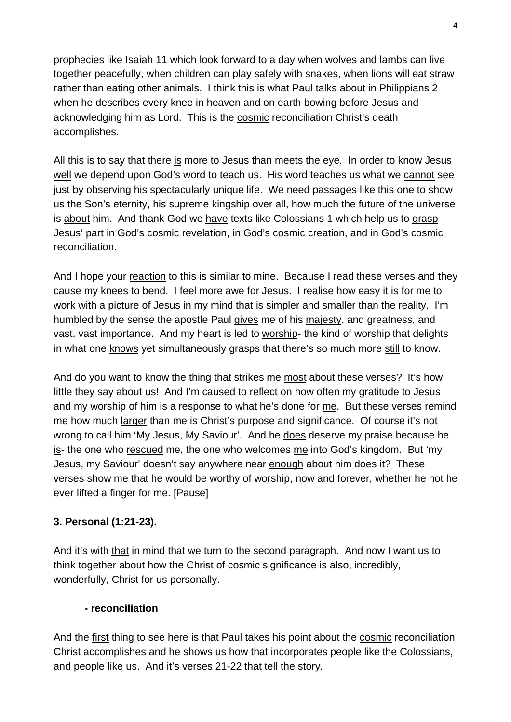prophecies like Isaiah 11 which look forward to a day when wolves and lambs can live together peacefully, when children can play safely with snakes, when lions will eat straw rather than eating other animals. I think this is what Paul talks about in Philippians 2 when he describes every knee in heaven and on earth bowing before Jesus and acknowledging him as Lord. This is the cosmic reconciliation Christ's death accomplishes.

All this is to say that there is more to Jesus than meets the eye. In order to know Jesus well we depend upon God's word to teach us. His word teaches us what we cannot see just by observing his spectacularly unique life. We need passages like this one to show us the Son's eternity, his supreme kingship over all, how much the future of the universe is about him. And thank God we have texts like Colossians 1 which help us to grasp Jesus' part in God's cosmic revelation, in God's cosmic creation, and in God's cosmic reconciliation.

And I hope your reaction to this is similar to mine. Because I read these verses and they cause my knees to bend. I feel more awe for Jesus. I realise how easy it is for me to work with a picture of Jesus in my mind that is simpler and smaller than the reality. I'm humbled by the sense the apostle Paul gives me of his majesty, and greatness, and vast, vast importance. And my heart is led to worship- the kind of worship that delights in what one knows yet simultaneously grasps that there's so much more still to know.

And do you want to know the thing that strikes me most about these verses? It's how little they say about us! And I'm caused to reflect on how often my gratitude to Jesus and my worship of him is a response to what he's done for me. But these verses remind me how much larger than me is Christ's purpose and significance. Of course it's not wrong to call him 'My Jesus, My Saviour'. And he does deserve my praise because he is- the one who rescued me, the one who welcomes me into God's kingdom. But 'my Jesus, my Saviour' doesn't say anywhere near enough about him does it? These verses show me that he would be worthy of worship, now and forever, whether he not he ever lifted a finger for me. [Pause]

## **3. Personal (1:21-23).**

And it's with that in mind that we turn to the second paragraph. And now I want us to think together about how the Christ of cosmic significance is also, incredibly, wonderfully, Christ for us personally.

#### **- reconciliation**

And the first thing to see here is that Paul takes his point about the cosmic reconciliation Christ accomplishes and he shows us how that incorporates people like the Colossians, and people like us. And it's verses 21-22 that tell the story.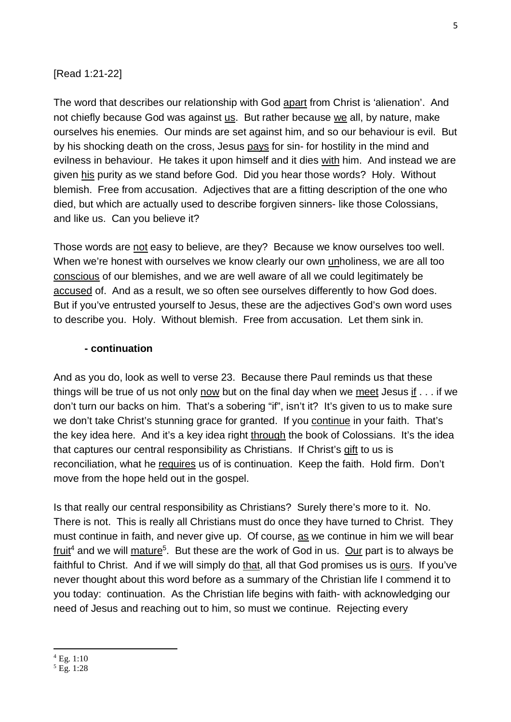#### [Read 1:21-22]

The word that describes our relationship with God apart from Christ is 'alienation'. And not chiefly because God was against us. But rather because we all, by nature, make ourselves his enemies. Our minds are set against him, and so our behaviour is evil. But by his shocking death on the cross, Jesus pays for sin- for hostility in the mind and evilness in behaviour. He takes it upon himself and it dies with him. And instead we are given his purity as we stand before God. Did you hear those words? Holy. Without blemish. Free from accusation. Adjectives that are a fitting description of the one who died, but which are actually used to describe forgiven sinners- like those Colossians, and like us. Can you believe it?

Those words are not easy to believe, are they? Because we know ourselves too well. When we're honest with ourselves we know clearly our own unholiness, we are all too conscious of our blemishes, and we are well aware of all we could legitimately be accused of. And as a result, we so often see ourselves differently to how God does. But if you've entrusted yourself to Jesus, these are the adjectives God's own word uses to describe you. Holy. Without blemish. Free from accusation. Let them sink in.

#### **- continuation**

And as you do, look as well to verse 23. Because there Paul reminds us that these things will be true of us not only now but on the final day when we meet Jesus if . . . if we don't turn our backs on him. That's a sobering "if", isn't it? It's given to us to make sure we don't take Christ's stunning grace for granted. If you continue in your faith. That's the key idea here. And it's a key idea right through the book of Colossians. It's the idea that captures our central responsibility as Christians. If Christ's gift to us is reconciliation, what he requires us of is continuation. Keep the faith. Hold firm. Don't move from the hope held out in the gospel.

Is that really our central responsibility as Christians? Surely there's more to it. No. There is not. This is really all Christians must do once they have turned to Christ. They must continue in faith, and never give up. Of course, as we continue in him we will bear fruit<sup>4</sup> and we will mature<sup>5</sup>. But these are the work of God in us. Our part is to always be faithful to Christ. And if we will simply do that, all that God promises us is ours. If you've never thought about this word before as a summary of the Christian life I commend it to you today: continuation. As the Christian life begins with faith- with acknowledging our need of Jesus and reaching out to him, so must we continue. Rejecting every

<sup>4</sup> Eg. 1:10

<sup>5</sup> Eg. 1:28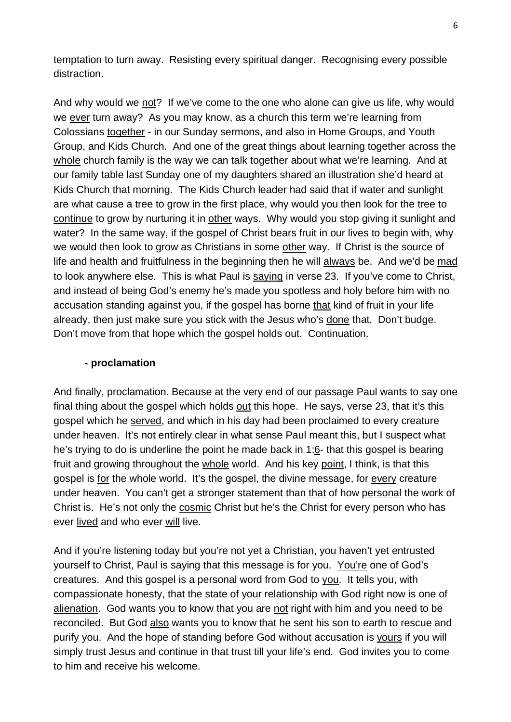temptation to turn away. Resisting every spiritual danger. Recognising every possible distraction.

And why would we not? If we've come to the one who alone can give us life, why would we ever turn away? As you may know, as a church this term we're learning from Colossians together - in our Sunday sermons, and also in Home Groups, and Youth Group, and Kids Church. And one of the great things about learning together across the whole church family is the way we can talk together about what we're learning. And at our family table last Sunday one of my daughters shared an illustration she'd heard at Kids Church that morning. The Kids Church leader had said that if water and sunlight are what cause a tree to grow in the first place, why would you then look for the tree to continue to grow by nurturing it in other ways. Why would you stop giving it sunlight and water? In the same way, if the gospel of Christ bears fruit in our lives to begin with, why we would then look to grow as Christians in some other way. If Christ is the source of life and health and fruitfulness in the beginning then he will always be. And we'd be mad to look anywhere else. This is what Paul is saying in verse 23. If you've come to Christ, and instead of being God's enemy he's made you spotless and holy before him with no accusation standing against you, if the gospel has borne that kind of fruit in your life already, then just make sure you stick with the Jesus who's done that. Don't budge. Don't move from that hope which the gospel holds out. Continuation.

#### **- proclamation**

And finally, proclamation. Because at the very end of our passage Paul wants to say one final thing about the gospel which holds out this hope. He says, verse 23, that it's this gospel which he served, and which in his day had been proclaimed to every creature under heaven. It's not entirely clear in what sense Paul meant this, but I suspect what he's trying to do is underline the point he made back in 1:6- that this gospel is bearing fruit and growing throughout the whole world. And his key point, I think, is that this gospel is for the whole world. It's the gospel, the divine message, for every creature under heaven. You can't get a stronger statement than that of how personal the work of Christ is. He's not only the cosmic Christ but he's the Christ for every person who has ever lived and who ever will live.

And if you're listening today but you're not yet a Christian, you haven't yet entrusted yourself to Christ, Paul is saying that this message is for you. You're one of God's creatures. And this gospel is a personal word from God to you. It tells you, with compassionate honesty, that the state of your relationship with God right now is one of alienation. God wants you to know that you are not right with him and you need to be reconciled. But God also wants you to know that he sent his son to earth to rescue and purify you. And the hope of standing before God without accusation is yours if you will simply trust Jesus and continue in that trust till your life's end. God invites you to come to him and receive his welcome.